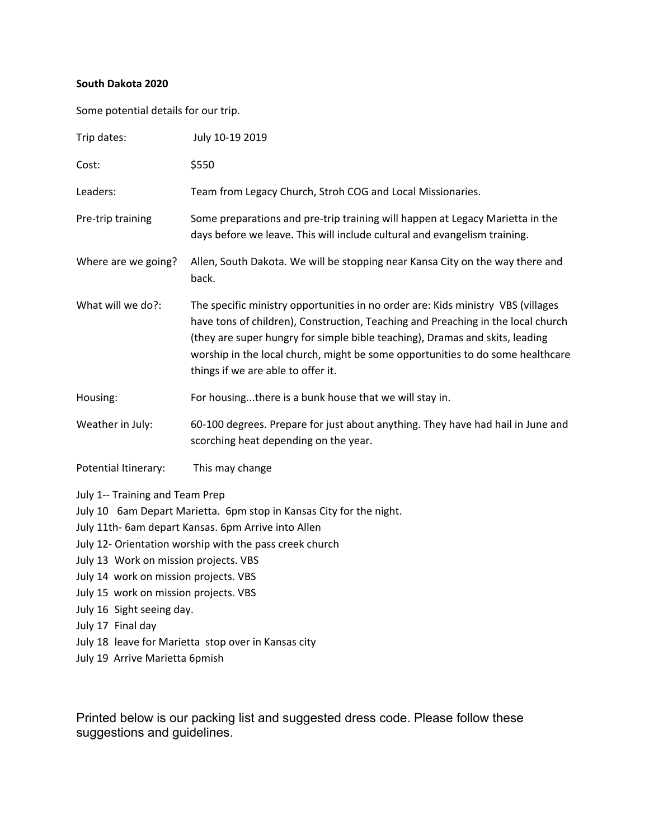## **South Dakota 2020**

Some potential details for our trip.

| Trip dates:                                                                                                                                                                                                  | July 10-19 2019                                                                                                                                                                                                                                                                                                                                                              |
|--------------------------------------------------------------------------------------------------------------------------------------------------------------------------------------------------------------|------------------------------------------------------------------------------------------------------------------------------------------------------------------------------------------------------------------------------------------------------------------------------------------------------------------------------------------------------------------------------|
| Cost:                                                                                                                                                                                                        | \$550                                                                                                                                                                                                                                                                                                                                                                        |
| Leaders:                                                                                                                                                                                                     | Team from Legacy Church, Stroh COG and Local Missionaries.                                                                                                                                                                                                                                                                                                                   |
| Pre-trip training                                                                                                                                                                                            | Some preparations and pre-trip training will happen at Legacy Marietta in the<br>days before we leave. This will include cultural and evangelism training.                                                                                                                                                                                                                   |
| Where are we going?                                                                                                                                                                                          | Allen, South Dakota. We will be stopping near Kansa City on the way there and<br>back.                                                                                                                                                                                                                                                                                       |
| What will we do?:                                                                                                                                                                                            | The specific ministry opportunities in no order are: Kids ministry VBS (villages<br>have tons of children), Construction, Teaching and Preaching in the local church<br>(they are super hungry for simple bible teaching), Dramas and skits, leading<br>worship in the local church, might be some opportunities to do some healthcare<br>things if we are able to offer it. |
| Housing:                                                                                                                                                                                                     | For housingthere is a bunk house that we will stay in.                                                                                                                                                                                                                                                                                                                       |
| Weather in July:                                                                                                                                                                                             | 60-100 degrees. Prepare for just about anything. They have had hail in June and<br>scorching heat depending on the year.                                                                                                                                                                                                                                                     |
| Potential Itinerary:                                                                                                                                                                                         | This may change                                                                                                                                                                                                                                                                                                                                                              |
| July 1-- Training and Team Prep<br>July 13 Work on mission projects. VBS<br>July 14 work on mission projects. VBS<br>July 15 work on mission projects. VBS<br>July 16 Sight seeing day.<br>July 17 Final day | July 10 6am Depart Marietta. 6pm stop in Kansas City for the night.<br>July 11th- 6am depart Kansas. 6pm Arrive into Allen<br>July 12- Orientation worship with the pass creek church<br>July 18 leave for Marietta stop over in Kansas city                                                                                                                                 |
| July 19 Arrive Marietta 6pmish                                                                                                                                                                               |                                                                                                                                                                                                                                                                                                                                                                              |

Printed below is our packing list and suggested dress code. Please follow these suggestions and guidelines.